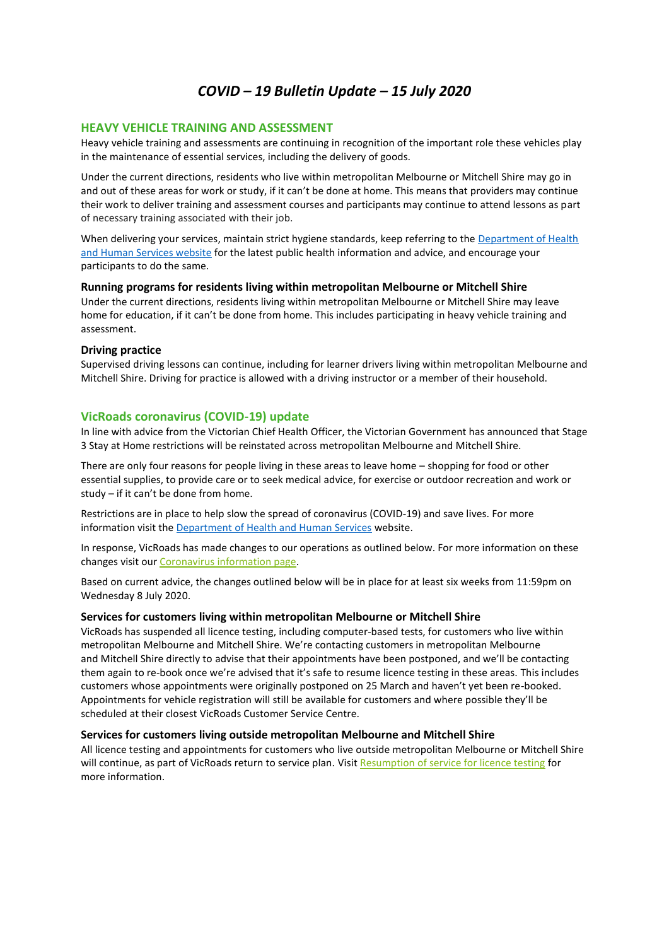# *COVID – 19 Bulletin Update – 15 July 2020*

# **HEAVY VEHICLE TRAINING AND ASSESSMENT**

Heavy vehicle training and assessments are continuing in recognition of the important role these vehicles play in the maintenance of essential services, including the delivery of goods.

Under the current directions, residents who live within metropolitan Melbourne or Mitchell Shire may go in and out of these areas for work or study, if it can't be done at home. This means that providers may continue their work to deliver training and assessment courses and participants may continue to attend lessons as part of necessary training associated with their job.

When delivering your services, maintain strict hygiene standards, keep referring to the Department of Health and Human Services website for the latest public health information and advice, and encourage your participants to do the same.

**Running programs for residents living within metropolitan Melbourne or Mitchell Shire** Under the current directions, residents living within metropolitan Melbourne or Mitchell Shire may leave home for education, if it can't be done from home. This includes participating in heavy vehicle training and assessment.

### **Driving practice**

Supervised driving lessons can continue, including for learner drivers living within metropolitan Melbourne and Mitchell Shire. Driving for practice is allowed with a driving instructor or a member of their household.

# **VicRoads coronavirus (COVID-19) update**

In line with advice from the Victorian Chief Health Officer, the Victorian Government has announced that Stage 3 Stay at Home restrictions will be reinstated across metropolitan Melbourne and Mitchell Shire.

There are only four reasons for people living in these areas to leave home – shopping for food or other essential supplies, to provide care or to seek medical advice, for exercise or outdoor recreation and work or study – if it can't be done from home.

Restrictions are in place to help slow the spread of coronavirus (COVID-19) and save lives. For more information visit the **Department of Health and Human Services** website.

In response, VicRoads has made changes to our operations as outlined below. For more information on these changes visit our Coronavirus information page.

Based on current advice, the changes outlined below will be in place for at least six weeks from 11:59pm on Wednesday 8 July 2020.

#### **Services for customers living within metropolitan Melbourne or Mitchell Shire**

VicRoads has suspended all licence testing, including computer-based tests, for customers who live within metropolitan Melbourne and Mitchell Shire. We're contacting customers in metropolitan Melbourne and Mitchell Shire directly to advise that their appointments have been postponed, and we'll be contacting them again to re-book once we're advised that it's safe to resume licence testing in these areas. This includes customers whose appointments were originally postponed on 25 March and haven't yet been re-booked. Appointments for vehicle registration will still be available for customers and where possible they'll be scheduled at their closest VicRoads Customer Service Centre.

# **Services for customers living outside metropolitan Melbourne and Mitchell Shire**

All licence testing and appointments for customers who live outside metropolitan Melbourne or Mitchell Shire will continue, as part of VicRoads return to service plan. Visit Resumption of service for licence testing for more information.